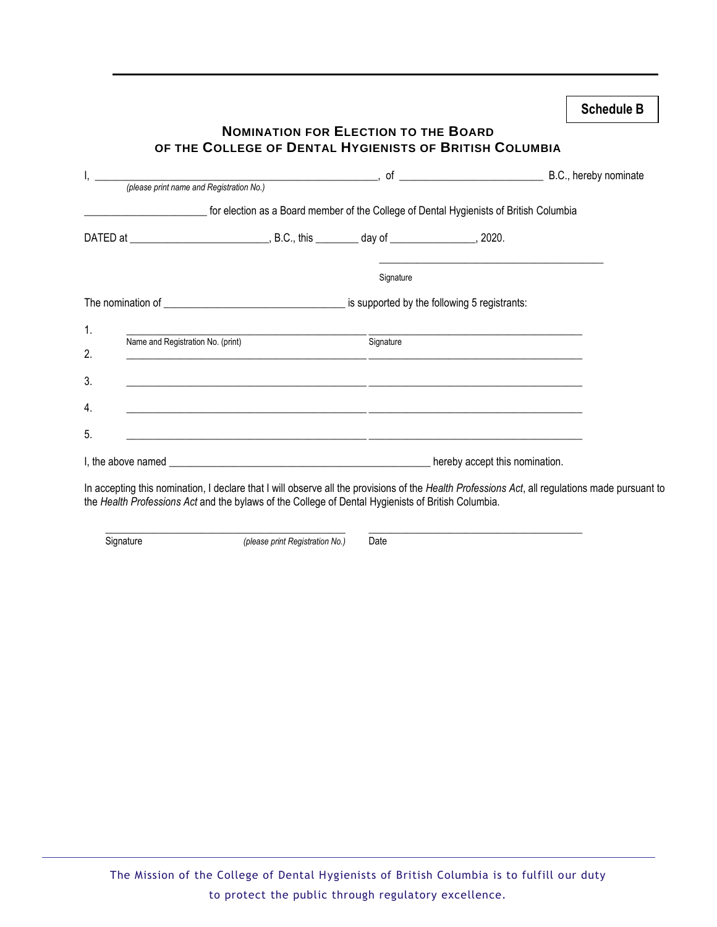| I, <i>Dease print name and Registration No.</i> ) and the set of the set of the set of the set of the set of the set of the set of the set of the set of the set of the set of the set of the set of the set of the set of the set o |                                                                                                                       |           |                                                                          |  |
|--------------------------------------------------------------------------------------------------------------------------------------------------------------------------------------------------------------------------------------|-----------------------------------------------------------------------------------------------------------------------|-----------|--------------------------------------------------------------------------|--|
| for election as a Board member of the College of Dental Hygienists of British Columbia                                                                                                                                               |                                                                                                                       |           |                                                                          |  |
| DATED at _______________________________, B.C., this _________ day of ________________, 2020.                                                                                                                                        |                                                                                                                       |           |                                                                          |  |
|                                                                                                                                                                                                                                      |                                                                                                                       | Signature |                                                                          |  |
|                                                                                                                                                                                                                                      |                                                                                                                       |           |                                                                          |  |
| Name and Registration No. (print) Signature<br><u> 1989 - Johann Stoff, deutscher Stoff, der Stoff, der Stoff, der Stoff, der Stoff, der Stoff, der Stoff, der S</u>                                                                 |                                                                                                                       |           | <u> 1989 - Johann John Stein, mars an deus Amerikaanse kommunister (</u> |  |
| 3.                                                                                                                                                                                                                                   |                                                                                                                       |           |                                                                          |  |
| 4.                                                                                                                                                                                                                                   | <u> 1989 - Johann John Stone, markin basar basar basa da shekara ta 1989 - Basar Barat Barat Barat Barat Barat Ba</u> |           |                                                                          |  |
| 5.                                                                                                                                                                                                                                   |                                                                                                                       |           |                                                                          |  |
|                                                                                                                                                                                                                                      |                                                                                                                       |           |                                                                          |  |

In accepting this nomination, I declare that I will observe all the provisions of the *Health Professions Act*, all regulations made pursuant to the *Health Professions Act* and the bylaws of the College of Dental Hygienists of British Columbia.

\_\_\_\_\_\_\_\_\_\_\_\_\_\_\_\_\_\_\_\_\_\_\_\_\_\_\_\_\_\_\_\_\_\_\_\_\_\_\_\_\_\_\_\_\_ \_\_\_\_\_\_\_\_\_\_\_\_\_\_\_\_\_\_\_\_\_\_\_\_\_\_\_\_\_\_\_\_\_\_\_\_\_\_\_\_

 $\overline{a}$ 

Signature *(please print Registration No.)* Date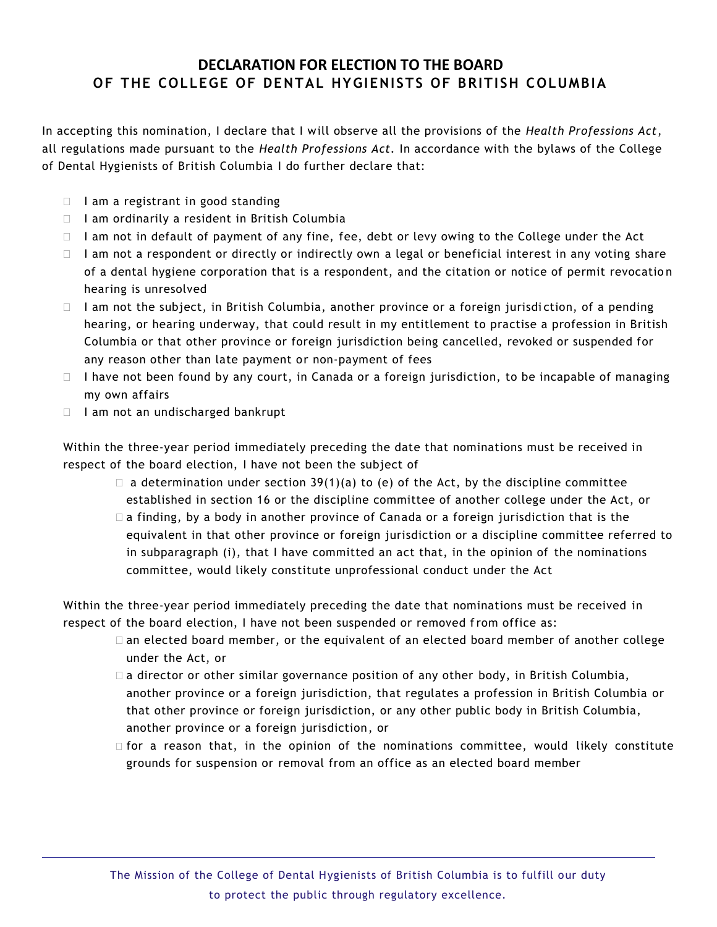## **DECLARATION FOR ELECTION TO THE BOARD OF THE COLLEGE OF DENTAL HYGIENISTS OF BRITISH COLUMBIA**

In accepting this nomination, I declare that I will observe all the provisions of the *Health Professions Act*, all regulations made pursuant to the *Health Professions Act.* In accordance with the bylaws of the College of Dental Hygienists of British Columbia I do further declare that:

- $\Box$  I am a registrant in good standing
- $\Box$  I am ordinarily a resident in British Columbia
- $\Box$  I am not in default of payment of any fine, fee, debt or levy owing to the College under the Act
- $\Box$  I am not a respondent or directly or indirectly own a legal or beneficial interest in any voting share of a dental hygiene corporation that is a respondent, and the citation or notice of permit revocatio n hearing is unresolved
- $\Box$  I am not the subject, in British Columbia, another province or a foreign jurisdiction, of a pending hearing, or hearing underway, that could result in my entitlement to practise a profession in British Columbia or that other province or foreign jurisdiction being cancelled, revoked or suspended for any reason other than late payment or non-payment of fees
- $\Box$  I have not been found by any court, in Canada or a foreign jurisdiction, to be incapable of managing my own affairs
- I lam not an undischarged bankrupt

 $\overline{a}$ 

Within the three-year period immediately preceding the date that nominations must be received in respect of the board election, I have not been the subject of

- $\Box$  a determination under section 39(1)(a) to (e) of the Act, by the discipline committee established in section 16 or the discipline committee of another college under the Act, or
- $\Box$  a finding, by a body in another province of Canada or a foreign jurisdiction that is the equivalent in that other province or foreign jurisdiction or a discipline committee referred to in subparagraph (i), that I have committed an act that, in the opinion of the nominations committee, would likely constitute unprofessional conduct under the Act

Within the three-year period immediately preceding the date that nominations must be received in respect of the board election, I have not been suspended or removed from office as:

- $\Box$  an elected board member, or the equivalent of an elected board member of another college under the Act, or
- $\Box$  a director or other similar governance position of any other body, in British Columbia, another province or a foreign jurisdiction, that regulates a profession in British Columbia or that other province or foreign jurisdiction, or any other public body in British Columbia, another province or a foreign jurisdiction, or
- $\Box$  for a reason that, in the opinion of the nominations committee, would likely constitute grounds for suspension or removal from an office as an elected board member